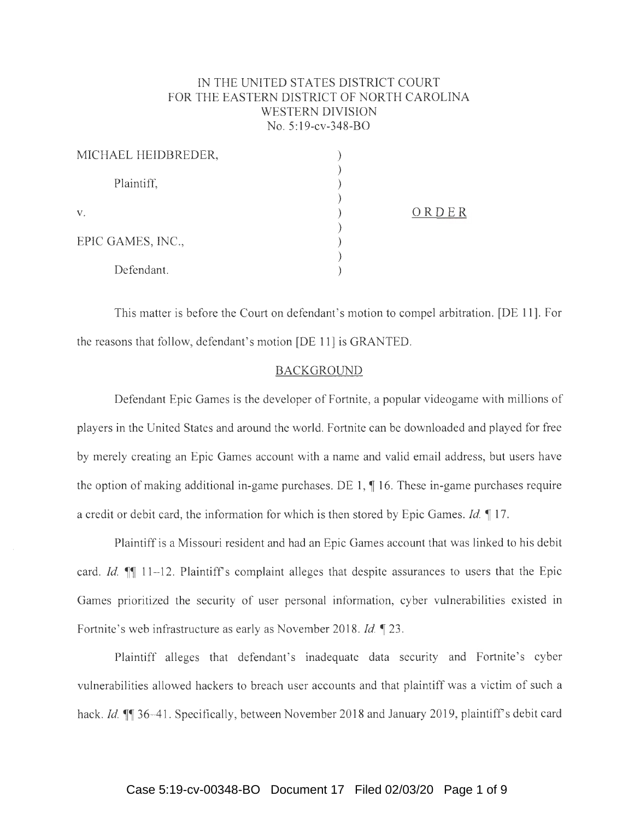# IN THE UNITED STATES DISTRICT COURT FOR THE EASTERN DISTRICT OF NORTH CAROLINA WESTERN DIVISION No. 5:19-cv-348-BO

| MICHAEL HEIDBREDER, |       |
|---------------------|-------|
| Plaintiff,          |       |
| V.                  | ORDER |
| EPIC GAMES, INC.,   |       |
| Defendant.          |       |

This matter is before the Court on defendant's motion to compel arbitration. [DE 11]. For the reasons that follow, defendant's motion [DE 11) is GRANTED.

## **BACKGROUND**

Defendant Epic Games is the developer of Fortnite, a popular videogame with millions of players in the United States and around the world. Fortnite can be downloaded and played for free by merely creating an Epic Games account with a name and valid email address, but users have the option of making additional in-game purchases. DE 1,  $\parallel$  16. These in-game purchases require a credit or debit card, the information for which is then stored by Epic Games. *Id.* 17.

Plaintiff is a Missouri resident and had an Epic Games account that was linked to his debit card. *Id.*  $\mathbb{I}$  11-12. Plaintiff's complaint alleges that despite assurances to users that the Epic Games prioritized the security of user personal information, cyber vulnerabilities existed in Fortnite's web infrastructure as early as November 2018. *Id.* 123.

Plaintiff alleges that defendant's inadequate data security and Fortnite's cyber vulnerabilities allowed hackers to breach user accounts and that plaintiff was a victim of such a hack. *Id.*  $\mathbb{II}$  36-41. Specifically, between November 2018 and January 2019, plaintiff's debit card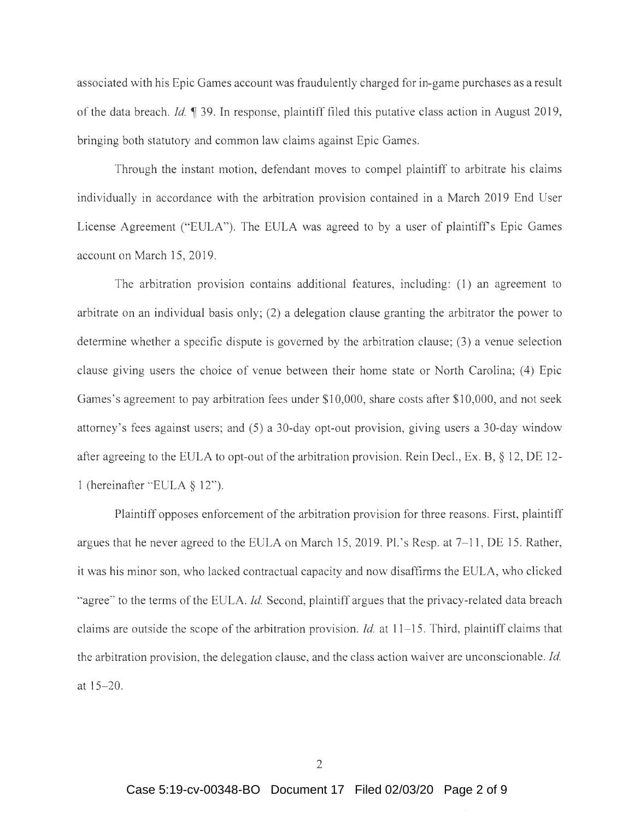associated with his Epic Games account was fraudulently charged for in-game purchases as a result of the data breach. *Id. ¶* 39. In response, plaintiff filed this putative class action in August 2019, bringing both statutory and common law claims against Epic Games.

Through the instant motion, defendant moves to compel plaintiff to arbitrate his claims individually in accordance with the arbitration provision contained in a March 2019 End User License Agreement ("EULA"). The EULA was agreed to by a user of plaintiff's Epic Games account on March 15, 2019.

The arbitration provision contains additional features, including: (1) an agreement to arbitrate on an individual basis only; (2) a delegation clause granting the arbitrator the power to determine whether a specific dispute is governed by the arbitration clause; (3) a venue selection clause giving users the choice of venue between their home state or North Carolina; (4) Epic Games's agreement to pay arbitration fees under \$10,000, share costs after \$10,000, and not seek attorney's fees against users; and (5) a 30-day opt-out provision, giving users a 30-day window after agreeing to the EULA to opt-out of the arbitration provision. Rein Deel., Ex. B, § 12, DE 12- 1 (hereinafter "EULA § 12").

Plaintiff opposes enforcement of the arbitration provision for three reasons. First, plaintiff argues that he never agreed to the EULA on March 15, 2019. Pl.'s Resp. at 7-11 , DE 15. Rather, it was his minor son, who lacked contractual capacity and now disaffirms the EULA, who clicked "agree" to the terms of the EULA. *Id.* Second, plaintiff argues that the privacy-related data breach claims are outside the scope of the arbitration provision. *Id.* at 11- 15. Third, plaintiff claims that the arbitration provision, the delegation clause, and the class action waiver are unconscionable. *Id.*  at  $15 - 20$ .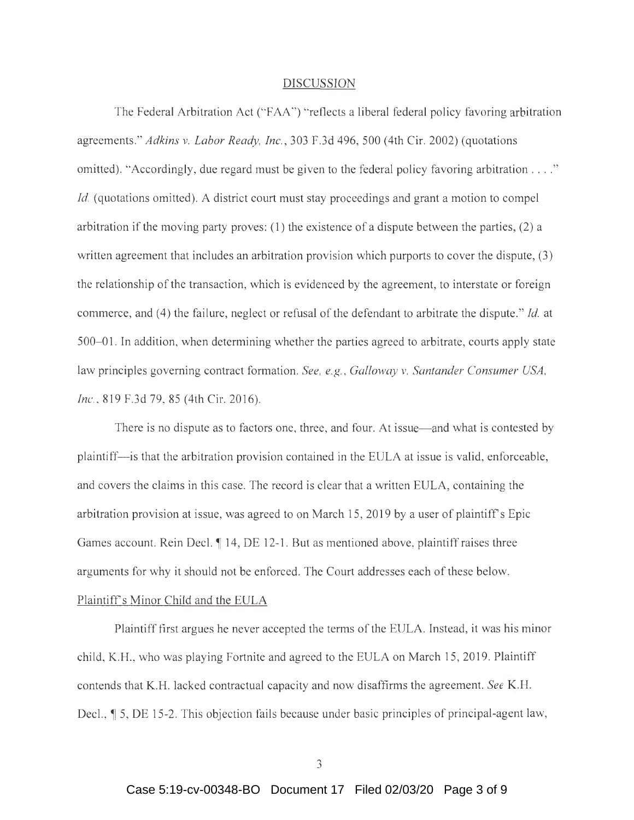#### DISCUSSION

The Federal Arbitration Act ("FAA") "reflects a liberal federal policy favoring arbitration agreements." *Adkins v. Labor Ready, Inc.,* 303 F.3d 496, 500 (4th Cir. 2002) (quotations omitted). "Accordingly, due regard must be given to the federal policy favoring arbitration .... " *Id.* (quotations omitted). A district court must stay proceedings and grant a motion to compel arbitration if the moving party proves: (1) the existence of a dispute between the parties, (2) a written agreement that includes an arbitration provision which purports to cover the dispute, (3) the relationship of the transaction, which is evidenced by the agreement, to interstate or foreign commerce, and (4) the failure, neglect or refusal of the defendant to arbitrate the dispute." *Id.* at 500- 01. In addition, when determining whether the parties agreed to arbitrate, courts apply state law principles governing contract formation. *See, e.g. , Galloway v. Santander Consumer USA, Inc.*, 819 F.3d 79, 85 (4th Cir. 2016).

There is no dispute as to factors one, three, and four. At issue—and what is contested by plaintiff- is that the arbitration provision contained in the EULA at issue is valid, enforceable, and covers the claims in this case. The record is clear that a written EULA, containing the arbitration provision at issue, was agreed to on March 15, 2019 by a user of plaintiff's Epic Games account. Rein Decl.  $\P$  14, DE 12-1. But as mentioned above, plaintiff raises three arguments for why it should not be enforced. The Court addresses each of these below. Plaintiff's Minor Child and the EULA

Plaintiff first argues he never accepted the terms of the EULA. Instead, it was his minor child, K.H. , who was playing Fortnite and agreed to the EULA on March 15 , 2019. Plaintiff contends that K.H. lacked contractual capacity and now disaffirms the agreement. *See* K.H. Decl.,  $\parallel$  5, DE 15-2. This objection fails because under basic principles of principal-agent law,

3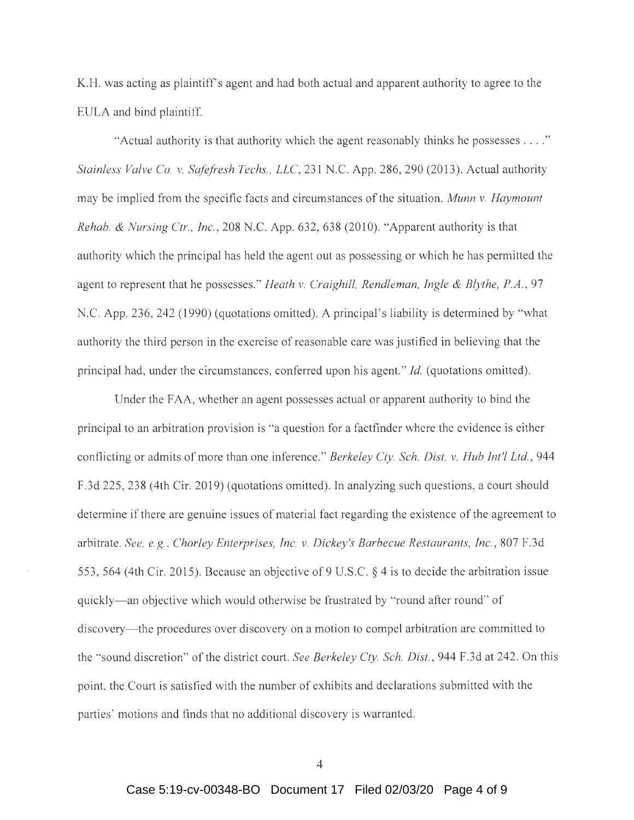K.H. was acting as plaintiffs agent and had both actual and apparent authority to agree to the EULA and bind plaintiff.

"Actual authority is that authority which the agent reasonably thinks he possesses .... " *Stainless Valve Co. v. Safefresh Techs., LLC,* 231 N.C. App. 286, 290 (2013). Actual authority may be implied from the specific facts and circumstances of the situation. *Munn v. Haymount Rehab. & Nursing Ctr., Inc.,* 208 N.C. App. 632, 638 (2010). "Apparent authority is that authority which the principal has held the agent out as possessing or which he has permitted the agent to represent that he possesses." *Heath v. Craighill, Rendleman, Ingle & Blythe, P.A.,* 97 N.C. App. 236, 242 (1990) (quotations omitted). A principal's liability is determined by "what authority the third person in the exercise of reasonable care was justified in believing that the principal had, under the circumstances, conferred upon his agent." *Id.* (quotations omitted).

Under the FAA, whether an agent possesses actual or apparent authority to bind the principal to an arbitration provision is "a question for a factfinder where the evidence is either conflicting or admits of more than one inference." *Berkeley Cty. Sch. Dist. v. Hub Int'! Ltd. ,* 944 F.3d 225 , 238 (4th Cir. 2019) (quotations omitted). In analyzing such questions, a court should determine if there are genuine issues of material fact regarding the existence of the agreement to arbitrate. *See, e.g. , Chorley Enterprises, Inc. v. Dickey's Barbecue Restaurants, Inc.,* 807 F.3d 553,564 (4th Cir. 2015). Because an objective of 9 U.S.C. § 4 is to decide the arbitration issue quickly- an objective which would otherwise be frustrated by "round after round" of discovery- the procedures over discovery on a motion to compel arbitration are committed to the " sound discretion" of the district court. *See Berkeley Cty. Sch. Dist.,* 944 F.3d at 242. On this point, the Court is satisfied with the number of exhibits and declarations submitted with the parties' motions and finds that no additional discovery is warranted.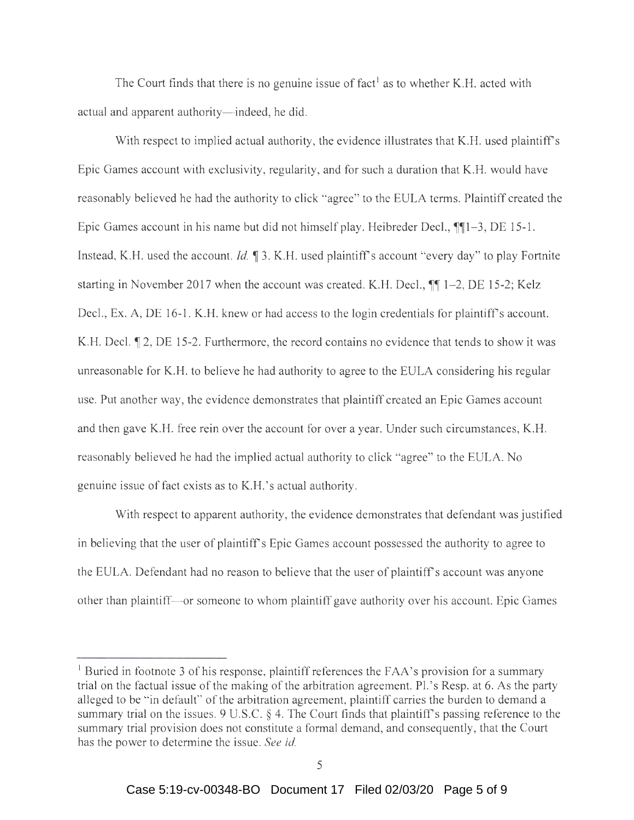The Court finds that there is no genuine issue of fact<sup>1</sup> as to whether K.H. acted with actual and apparent authority—indeed, he did.

With respect to implied actual authority, the evidence illustrates that K.H. used plaintiff's Epic Games account with exclusivity, regularity, and for such a duration that K.H. would have reasonably believed he had the authority to click "agree" to the EULA terms. Plaintiff created the Epic Games account in his name but did not himself play. Heibreder Decl.,  $\P$ [1-3, DE 15-1. Instead, K.H. used the account. *Id.*  $\parallel$  3. K.H. used plaintiff's account "every day" to play Fortnite starting in November 2017 when the account was created. K.H. Decl.,  $\P\P$  1-2, DE 15-2; Kelz Decl., Ex. A, DE 16-1. K.H. knew or had access to the login credentials for plaintiff's account. K.H. Decl.  $\mathbb{T}$  2, DE 15-2. Furthermore, the record contains no evidence that tends to show it was umeasonable for K.H. to believe he had authority to agree to the EULA considering his regular use. Put another way, the evidence demonstrates that plaintiff created an Epic Games account and then gave K.H. free rein over the account for over a year. Under such circumstances, K.H. reasonably believed he had the implied actual authority to click "agree" to the EULA. No genuine issue of fact exists as to K.H.' s actual authority.

With respect to apparent authority, the evidence demonstrates that defendant was justified in believing that the user of plaintiff's Epic Games account possessed the authority to agree to the EULA. Defendant had no reason to believe that the user of plaintiff's account was anyone other than plaintiff- or someone to whom plaintiff gave authority over his account. Epic Games

<sup>&</sup>lt;sup>1</sup> Buried in footnote 3 of his response, plaintiff references the FAA's provision for a summary trial on the factual issue of the making of the arbitration agreement. Pl. 's Resp. at 6. As the party alleged to be "in default" of the arbitration agreement, plaintiff carries the burden to demand a summary trial on the issues. 9 U.S.C. § 4. The Court finds that plaintiff's passing reference to the summary trial provision does not constitute a formal demand, and consequently, that the Court has the power to determine the issue. *See id.*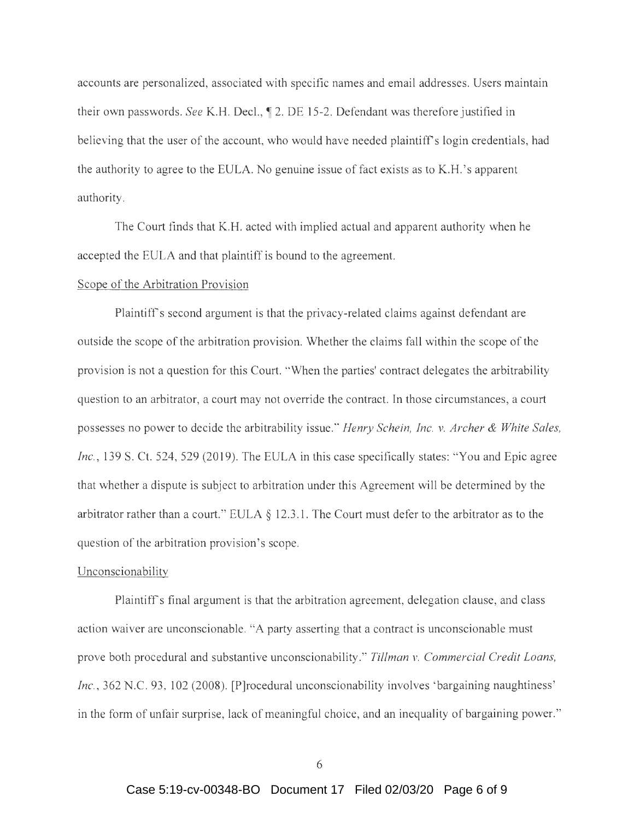accounts are personalized, associated with specific names and email addresses. Users maintain their own passwords. *See* K.H. Decl.,  $\parallel$  2. DE 15-2. Defendant was therefore justified in believing that the user of the account, who would have needed plaintiff's login credentials, had the authority to agree to the EULA. No genuine issue of fact exists as to K.H. 's apparent authority.

The Court finds that K.H. acted with implied actual and apparent authority when he accepted the EULA and that plaintiff is bound to the agreement.

#### Scope of the Arbitration Provision

Plaintiff's second argument is that the privacy-related claims against defendant are outside the scope of the arbitration provision. Whether the claims fall within the scope of the provision is not a question for this Court. "When the parties' contract delegates the arbitrability question to an arbitrator, a court may not override the contract. In those circumstances, a court possesses no power to decide the arbitrability issue." *Henry Schein, Inc. v. Archer & White Sales, Inc.,* 139 S. Ct. 524, 529 (2019). The EULA in this case specifically states: "You and Epic agree that whether a dispute is subject to arbitration under this Agreement will be determined by the arbitrator rather than a court." EULA  $\S$  12.3.1. The Court must defer to the arbitrator as to the question of the arbitration provision's scope.

#### Unconscionability

Plaintiffs final argument is that the arbitration agreement, delegation clause, and class action waiver are unconscionable. "A party asserting that a contract is unconscionable must prove both procedural and substantive unconscionability." *Tillman v. Commercial Credit Loans, Inc.*, 362 N.C. 93, 102 (2008). [P]rocedural unconscionability involves 'bargaining naughtiness' in the form of unfair surprise, lack of meaningful choice, and an inequality of bargaining power."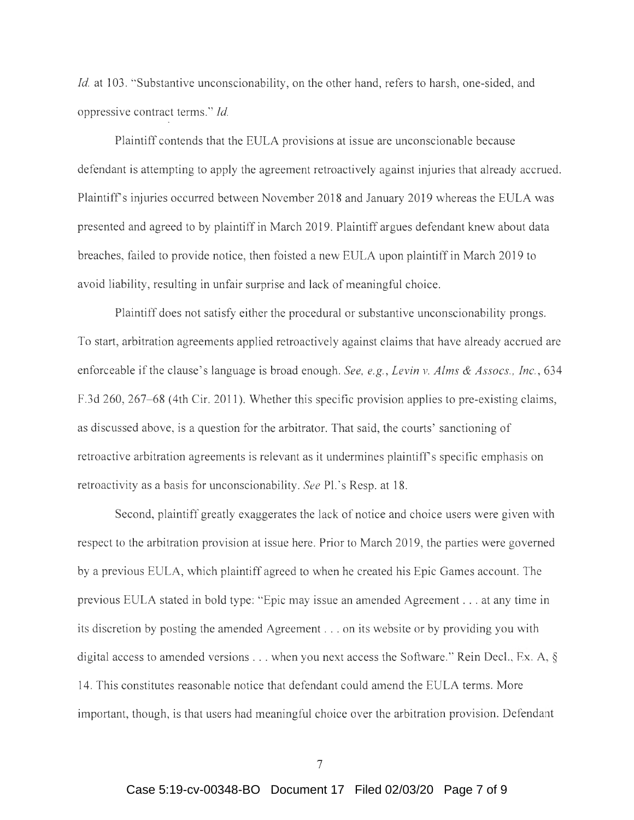*Id.* at 103. "Substantive unconscionability, on the other hand, refers to harsh, one-sided, and oppressive contract terms. " *Id.* 

Plaintiff contends that the EULA provisions at issue are unconscionable because defendant is attempting to apply the agreement retroactively against injuries that already accrued. Plaintiffs injuries occurred between November 2018 and January 2019 whereas the EULA was presented and agreed to by plaintiff in March 2019. Plaintiff argues defendant knew about data breaches, failed to provide notice, then foisted a new EULA upon plaintiff in March 2019 to avoid liability, resulting in unfair surprise and lack of meaningful choice.

Plaintiff does not satisfy either the procedural or substantive unconscionability prongs. To start, arbitration agreements applied retroactively against claims that have already accrued are enforceable if the clause 's language is broad enough. *See, e.g. , Levin v. Alms & Assocs., Inc.,* 634 F.3d 260, 267–68 (4th Cir. 2011). Whether this specific provision applies to pre-existing claims, as discussed above, is a question for the arbitrator. That said, the courts' sanctioning of retroactive arbitration agreements is relevant as it undermines plaintiff's specific emphasis on retroactivity as a basis for unconscionability. *See* Pl. 's Resp. at 18.

Second, plaintiff greatly exaggerates the lack of notice and choice users were given with respect to the arbitration provision at issue here. Prior to March 2019, the parties were governed by a previous EULA, which plaintiff agreed to when he created his Epic Games account. The previous EULA stated in bold type: "Epic may issue an amended Agreement . .. at any time in its discretion by posting the amended Agreement ... on its website or by providing you with digital access to amended versions  $\dots$  when you next access the Software." Rein Decl., Ex. A, § 14. This constitutes reasonable notice that defendant could amend the EULA terms. More important, though, is that users had meaningful choice over the arbitration provision. Defendant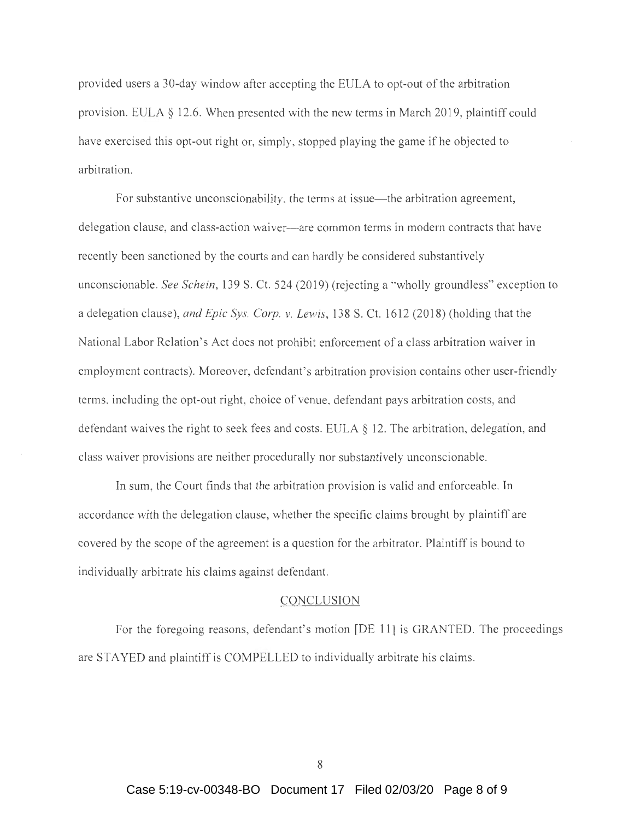provided users a 30-day window after accepting the EULA to opt-out of the arbitration provision. EULA  $\S$  12.6. When presented with the new terms in March 2019, plaintiff could have exercised this opt-out right or, simply, stopped playing the game if he objected to arbitration.

For substantive unconscionability, the terms at issue—the arbitration agreement, delegation clause, and class-action waiver- are common terms in modern contracts that have recently been sanctioned by the courts and can hardly be considered substantively unconscionable. *See Schein*, 139 S. Ct. 524 (2019) (rejecting a "wholly groundless" exception to a delegation clause), *and Epic Sys. Corp. v. Lewis*, 138 S. Ct. 1612 (2018) (holding that the National Labor Relation's Act does not prohibit enforcement of a class arbitration waiver in employment contracts). Moreover, defendant's arbitration provision contains other user-friendly terms, including the opt-out right, choice of venue, defendant pays arbitration costs, and defendant waives the right to seek fees and costs. EULA  $\S$  12. The arbitration, delegation, and class waiver provisions are neither procedurally nor substantively unconscionable.

In sum, the Court finds that the arbitration provision is valid and enforceable. In accordance with the delegation clause, whether the specific claims brought by plaintiff are covered by the scope of the agreement is a question for the arbitrator. Plaintiff is bound to individually arbitrate his claims against defendant.

### **CONCLUSION**

For the foregoing reasons, defendant's motion [DE 11] is GRANTED. The proceedings are STAYED and plaintiff is COMPELLED to individually arbitrate his claims.

8